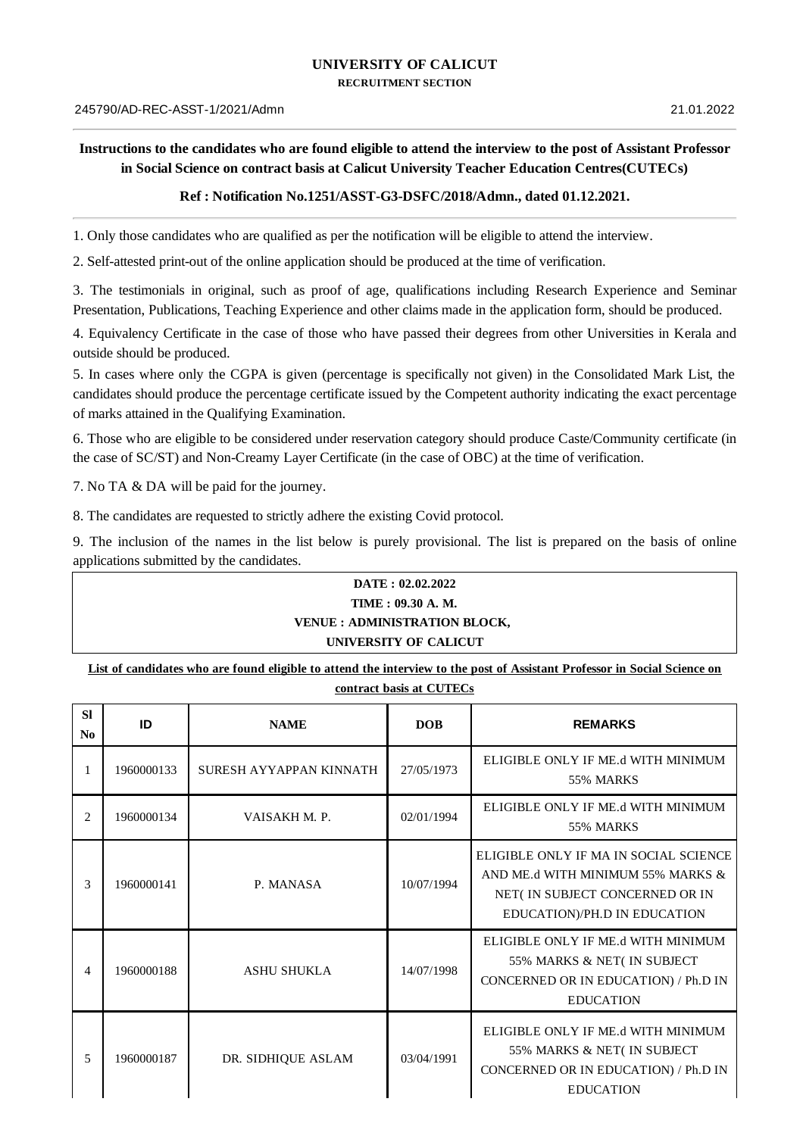## **UNIVERSITY OF CALICUT**

**RECRUITMENT SECTION**

## Instructions to the candidates who are found eligible to attend the interview to the post of Assistant Professor **in Social Science on contract basis at Calicut University Teacher Education Centres(CUTECs)**

## **Ref : Notification No.1251/ASST-G3-DSFC/2018/Admn., dated 01.12.2021.**

1. Only those candidates who are qualified as per the notification will be eligible to attend the interview.

2. Self-attested print-out of the online application should be produced at the time of verification.

3. The testimonials in original, such as proof of age, qualifications including Research Experience and Seminar Presentation, Publications, Teaching Experience and other claims made in the application form, should be produced.

4. Equivalency Certificate in the case of those who have passed their degrees from other Universities in Kerala and outside should be produced.

5. In cases where only the CGPA is given (percentage is specifically not given) in the Consolidated Mark List, the candidates should produce the percentage certificate issued by the Competent authority indicating the exact percentage of marks attained in the Qualifying Examination.

6. Those who are eligible to be considered under reservation category should produce Caste/Community certificate (in the case of SC/ST) and Non-Creamy Layer Certificate (in the case of OBC) at the time of verification.

7. No TA & DA will be paid for the journey.

8. The candidates are requested to strictly adhere the existing Covid protocol.

9. The inclusion of the names in the list below is purely provisional. The list is prepared on the basis of online applications submitted by the candidates.

## **DATE : 02.02.2022 TIME : 09.30 A. M. VENUE : ADMINISTRATION BLOCK, UNIVERSITY OF CALICUT**

List of candidates who are found eligible to attend the interview to the post of Assistant Professor in Social Science on **contract basis at CUTECs**

| CONtract Dasis at CUTECS |  |  |  |
|--------------------------|--|--|--|
|                          |  |  |  |
|                          |  |  |  |

| <b>SI</b><br>N <sub>0</sub> | ID         | <b>NAME</b>             | <b>DOB</b> | <b>REMARKS</b>                                                                                                                                |
|-----------------------------|------------|-------------------------|------------|-----------------------------------------------------------------------------------------------------------------------------------------------|
| 1                           | 1960000133 | SURESH AYYAPPAN KINNATH | 27/05/1973 | ELIGIBLE ONLY IF ME.d WITH MINIMUM<br>55% MARKS                                                                                               |
| $\overline{2}$              | 1960000134 | VAISAKH M.P.            | 02/01/1994 | ELIGIBLE ONLY IF ME.d WITH MINIMUM<br>55% MARKS                                                                                               |
| 3                           | 1960000141 | P. MANASA               | 10/07/1994 | ELIGIBLE ONLY IF MA IN SOCIAL SCIENCE<br>AND ME.d WITH MINIMUM 55% MARKS &<br>NET( IN SUBJECT CONCERNED OR IN<br>EDUCATION)/PH.D IN EDUCATION |
| 4                           | 1960000188 | ASHU SHUKLA             | 14/07/1998 | ELIGIBLE ONLY IF ME.d WITH MINIMUM<br>55% MARKS & NET( IN SUBJECT<br>CONCERNED OR IN EDUCATION) / Ph.D IN<br><b>EDUCATION</b>                 |
| 5.                          | 1960000187 | DR. SIDHIQUE ASLAM      | 03/04/1991 | ELIGIBLE ONLY IF ME.d WITH MINIMUM<br>55% MARKS & NET(IN SUBJECT<br>CONCERNED OR IN EDUCATION) / Ph.D IN<br><b>EDUCATION</b>                  |